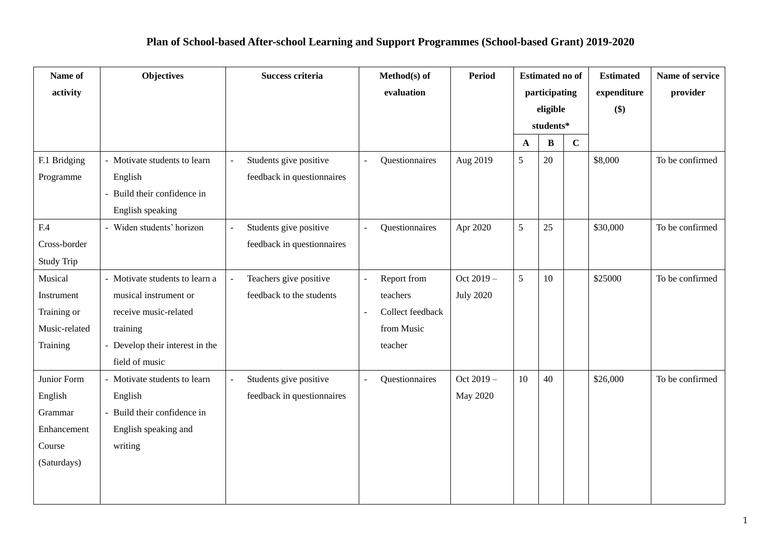## **Plan of School-based After-school Learning and Support Programmes (School-based Grant) 2019-2020**

| Name of                                                                   | <b>Objectives</b>                                                                                                                                 | Success criteria                                     | Method(s) of                                                         | <b>Period</b>                 | <b>Estimated no of</b> |    | <b>Estimated</b>   | Name of service |                 |
|---------------------------------------------------------------------------|---------------------------------------------------------------------------------------------------------------------------------------------------|------------------------------------------------------|----------------------------------------------------------------------|-------------------------------|------------------------|----|--------------------|-----------------|-----------------|
| activity                                                                  |                                                                                                                                                   |                                                      | evaluation                                                           |                               | participating          |    | expenditure<br>\$) | provider        |                 |
|                                                                           |                                                                                                                                                   |                                                      |                                                                      |                               | eligible<br>students*  |    |                    |                 |                 |
|                                                                           |                                                                                                                                                   |                                                      |                                                                      |                               | $\mathbf A$            | B  | $\mathbf{C}$       |                 |                 |
| F.1 Bridging<br>Programme                                                 | - Motivate students to learn<br>English<br>- Build their confidence in<br>English speaking                                                        | Students give positive<br>feedback in questionnaires | Questionnaires                                                       | Aug 2019                      | 5                      | 20 |                    | \$8,000         | To be confirmed |
| F.4                                                                       | - Widen students' horizon                                                                                                                         | Students give positive<br>L.                         | Questionnaires                                                       | Apr 2020                      | 5                      | 25 |                    | \$30,000        | To be confirmed |
| Cross-border                                                              |                                                                                                                                                   | feedback in questionnaires                           |                                                                      |                               |                        |    |                    |                 |                 |
| <b>Study Trip</b>                                                         |                                                                                                                                                   |                                                      |                                                                      |                               |                        |    |                    |                 |                 |
| Musical<br>Instrument<br>Training or<br>Music-related<br>Training         | - Motivate students to learn a<br>musical instrument or<br>receive music-related<br>training<br>- Develop their interest in the<br>field of music | Teachers give positive<br>feedback to the students   | Report from<br>teachers<br>Collect feedback<br>from Music<br>teacher | Oct 2019-<br><b>July 2020</b> | 5                      | 10 |                    | \$25000         | To be confirmed |
| Junior Form<br>English<br>Grammar<br>Enhancement<br>Course<br>(Saturdays) | - Motivate students to learn<br>English<br>- Build their confidence in<br>English speaking and<br>writing                                         | Students give positive<br>feedback in questionnaires | Questionnaires                                                       | Oct 2019-<br>May 2020         | 10                     | 40 |                    | \$26,000        | To be confirmed |